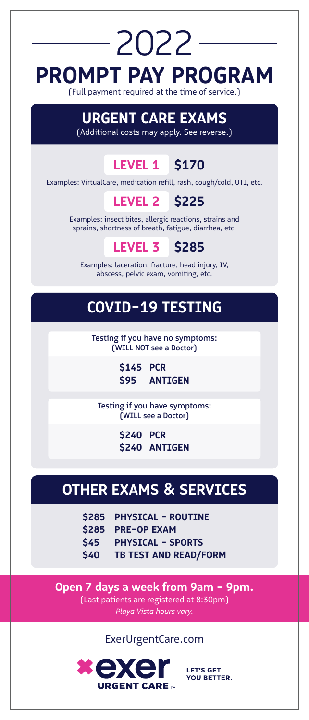# **PROMPT PAY PROGRAM** (Full payment required at the time of service.) 2022

## **URGENT CARE EXAMS**

(Additional costs may apply. See reverse.)

#### **LEVEL 1 \$170**

Examples: VirtualCare, medication refill, rash, cough/cold, UTI, etc.

#### **LEVEL 2 \$225**

Examples: insect bites, allergic reactions, strains and sprains, shortness of breath, fatigue, diarrhea, etc.

#### **LEVEL 3 \$285**

Examples: laceration, fracture, head injury, IV, abscess, pelvic exam, vomiting, etc.

## **COVID-19 TESTING**

Testing if you have no symptoms: (WILL NOT see a Doctor)

> **PCR \$145 ANTIGEN \$95**

Testing if you have symptoms: (WILL see a Doctor)

> **PCR \$240** \$240 ANTIGEN

## **OTHER EXAMS & SERVICES**

- **\$285 PHYSICAL - ROUTINE**
- **\$285 PRE-OP EXAM**
- **\$45 PHYSICAL - SPORTS**
- **\$40 TB TEST AND READ/FORM**

**Open 7 days a week from 9am - 9pm.** (Last patients are registered at 8:30pm) *Playa Vista hours vary.*

ExerUrgentCare.com



**LET'S GET** YOU BETTER.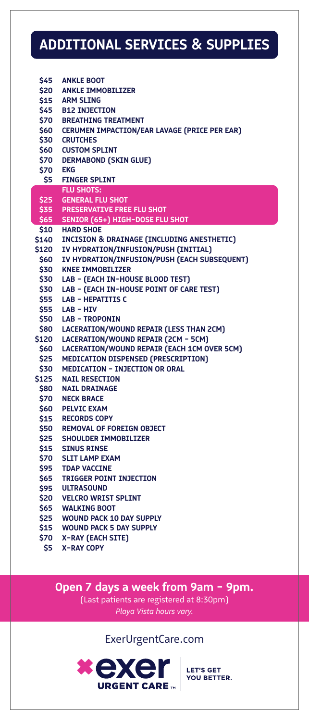## **ADDITIONAL SERVICES & SUPPLIES**

| \$45           | <b>ANKLE BOOT</b>                                 |
|----------------|---------------------------------------------------|
|                | \$20 ANKLE IMMOBILIZER                            |
|                | \$15 ARM SLING                                    |
|                | \$45 B12 INJECTION                                |
|                | <b>\$70 BREATHING TREATMENT</b>                   |
|                |                                                   |
|                | \$60 CERUMEN IMPACTION/EAR LAVAGE (PRICE PER EAR) |
|                | <b>\$30 CRUTCHES</b>                              |
|                | \$60 CUSTOM SPLINT                                |
|                | <b>\$70 DERMABOND (SKIN GLUE)</b>                 |
| <b>S70 EKG</b> |                                                   |
|                | \$5 FINGER SPLINT                                 |
|                | <b>FLU SHOTS:</b>                                 |
|                | <b>\$25 GENERAL FLU SHOT</b>                      |
|                | \$35 PRESERVATIVE FREE FLU SHOT                   |
|                | \$65 SENIOR (65+) HIGH-DOSE FLU SHOT              |
|                | \$10 HARD SHOE                                    |
|                | \$140 INCISION & DRAINAGE (INCLUDING ANESTHETIC)  |
|                | \$120 IV HYDRATION/INFUSION/PUSH (INITIAL)        |
|                | \$60 IV HYDRATION/INFUSION/PUSH (EACH SUBSEQUENT) |
|                | \$30 KNEE IMMOBILIZER                             |
|                | \$30 LAB - (EACH IN-HOUSE BLOOD TEST)             |
|                |                                                   |
|                | \$30 LAB - (EACH IN-HOUSE POINT OF CARE TEST)     |
|                | \$55 LAB - HEPATITIS C                            |
|                | \$55 LAB-HIV                                      |
|                | \$50 LAB - TROPONIN                               |
|                | \$80 LACERATION/WOUND REPAIR (LESS THAN 2CM)      |
|                | \$120 LACERATION/WOUND REPAIR (2CM - 5CM)         |
|                | \$60 LACERATION/WOUND REPAIR (EACH 1CM OVER 5CM)  |
|                | \$25 MEDICATION DISPENSED (PRESCRIPTION)          |
|                | \$30 MEDICATION - INJECTION OR ORAL               |
|                | \$125 NAIL RESECTION                              |
|                | \$80 NAIL DRAINAGE                                |
|                | <b>\$70 NECK BRACE</b>                            |
|                | <b>\$60 PELVIC EXAM</b>                           |
|                | \$15 RECORDS COPY                                 |
|                | <b>\$50 REMOVAL OF FOREIGN OBJECT</b>             |
|                | \$25 SHOULDER IMMOBILIZER                         |
|                | <b>\$15 SINUS RINSE</b>                           |
|                | <b>\$70 SLIT LAMP EXAM</b>                        |
|                |                                                   |
|                | \$95 TDAP VACCINE<br>\$65 TRIGGER POINT INJECTION |
|                |                                                   |
|                | \$95 ULTRASOUND                                   |
|                | <b>\$20 VELCRO WRIST SPLINT</b>                   |
|                | \$65 WALKING BOOT                                 |
|                | \$25 WOUND PACK 10 DAY SUPPLY                     |
|                | \$15 WOUND PACK 5 DAY SUPPLY                      |
| \$70           | X-RAY (EACH SITE)                                 |

**X-RAY COPY \$5**

> **Open 7 days a week from 9am - 9pm.** (Last patients are registered at 8:30pm) *Playa Vista hours vary.*

> > ExerUrgentCare.com



**LET'S GET<br>YOU BETTER.**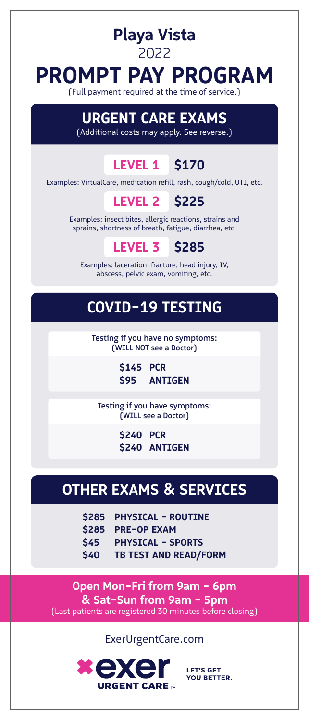## **PROMPT PAY PROGRAM**  $-2022-$

**Playa Vista**

(Full payment required at the time of service.)

## **URGENT CARE EXAMS**

(Additional costs may apply. See reverse.)

#### **LEVEL 1 \$170**

Examples: VirtualCare, medication refill, rash, cough/cold, UTI, etc.

#### **LEVEL 2 \$225**

Examples: insect bites, allergic reactions, strains and sprains, shortness of breath, fatigue, diarrhea, etc.

#### **LEVEL 3 \$285**

Examples: laceration, fracture, head injury, IV, abscess, pelvic exam, vomiting, etc.

### **COVID-19 TESTING**

Testing if you have no symptoms: (WILL NOT see a Doctor)

> **PCR \$145 ANTIGEN \$95**

Testing if you have symptoms: (WILL see a Doctor)

> **PCR \$240** \$240 ANTIGEN

#### **OTHER EXAMS & SERVICES**

- **\$285 PHYSICAL - ROUTINE**
- **\$285 PRE-OP EXAM**
- **\$45 PHYSICAL - SPORTS**
- **\$40 TB TEST AND READ/FORM**

**Open Mon-Fri from 9am - 6pm & Sat-Sun from 9am - 5pm** (Last patients are registered 30 minutes before closing)

#### ExerUrgentCare.com



**LET'S GET** YOU BETTER.